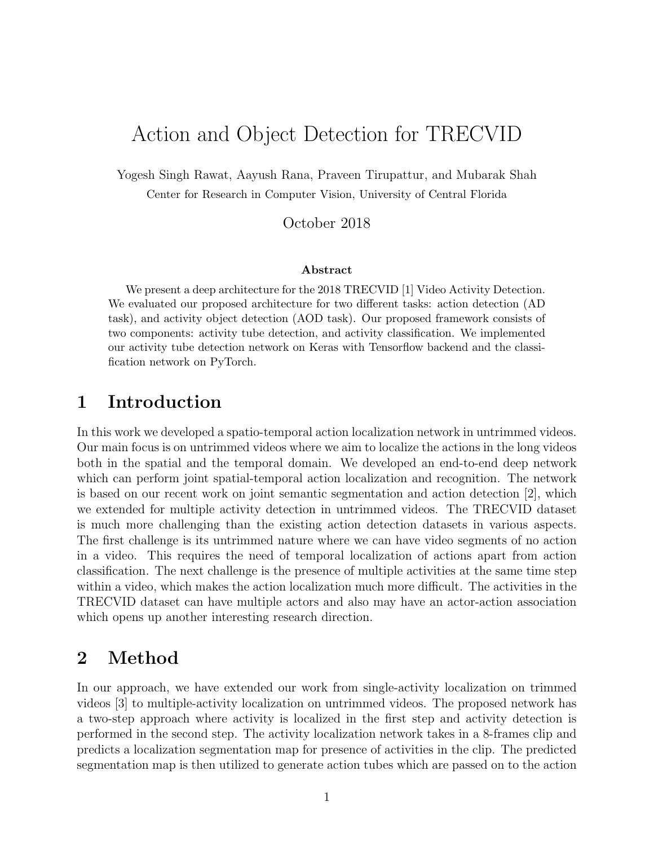## Action and Object Detection for TRECVID

Yogesh Singh Rawat, Aayush Rana, Praveen Tirupattur, and Mubarak Shah Center for Research in Computer Vision, University of Central Florida

#### October 2018

#### Abstract

We present a deep architecture for the 2018 TRECVID [1] Video Activity Detection. We evaluated our proposed architecture for two different tasks: action detection (AD task), and activity object detection (AOD task). Our proposed framework consists of two components: activity tube detection, and activity classification. We implemented our activity tube detection network on Keras with Tensorflow backend and the classification network on PyTorch.

#### 1 Introduction

In this work we developed a spatio-temporal action localization network in untrimmed videos. Our main focus is on untrimmed videos where we aim to localize the actions in the long videos both in the spatial and the temporal domain. We developed an end-to-end deep network which can perform joint spatial-temporal action localization and recognition. The network is based on our recent work on joint semantic segmentation and action detection [2], which we extended for multiple activity detection in untrimmed videos. The TRECVID dataset is much more challenging than the existing action detection datasets in various aspects. The first challenge is its untrimmed nature where we can have video segments of no action in a video. This requires the need of temporal localization of actions apart from action classification. The next challenge is the presence of multiple activities at the same time step within a video, which makes the action localization much more difficult. The activities in the TRECVID dataset can have multiple actors and also may have an actor-action association which opens up another interesting research direction.

#### 2 Method

In our approach, we have extended our work from single-activity localization on trimmed videos [3] to multiple-activity localization on untrimmed videos. The proposed network has a two-step approach where activity is localized in the first step and activity detection is performed in the second step. The activity localization network takes in a 8-frames clip and predicts a localization segmentation map for presence of activities in the clip. The predicted segmentation map is then utilized to generate action tubes which are passed on to the action